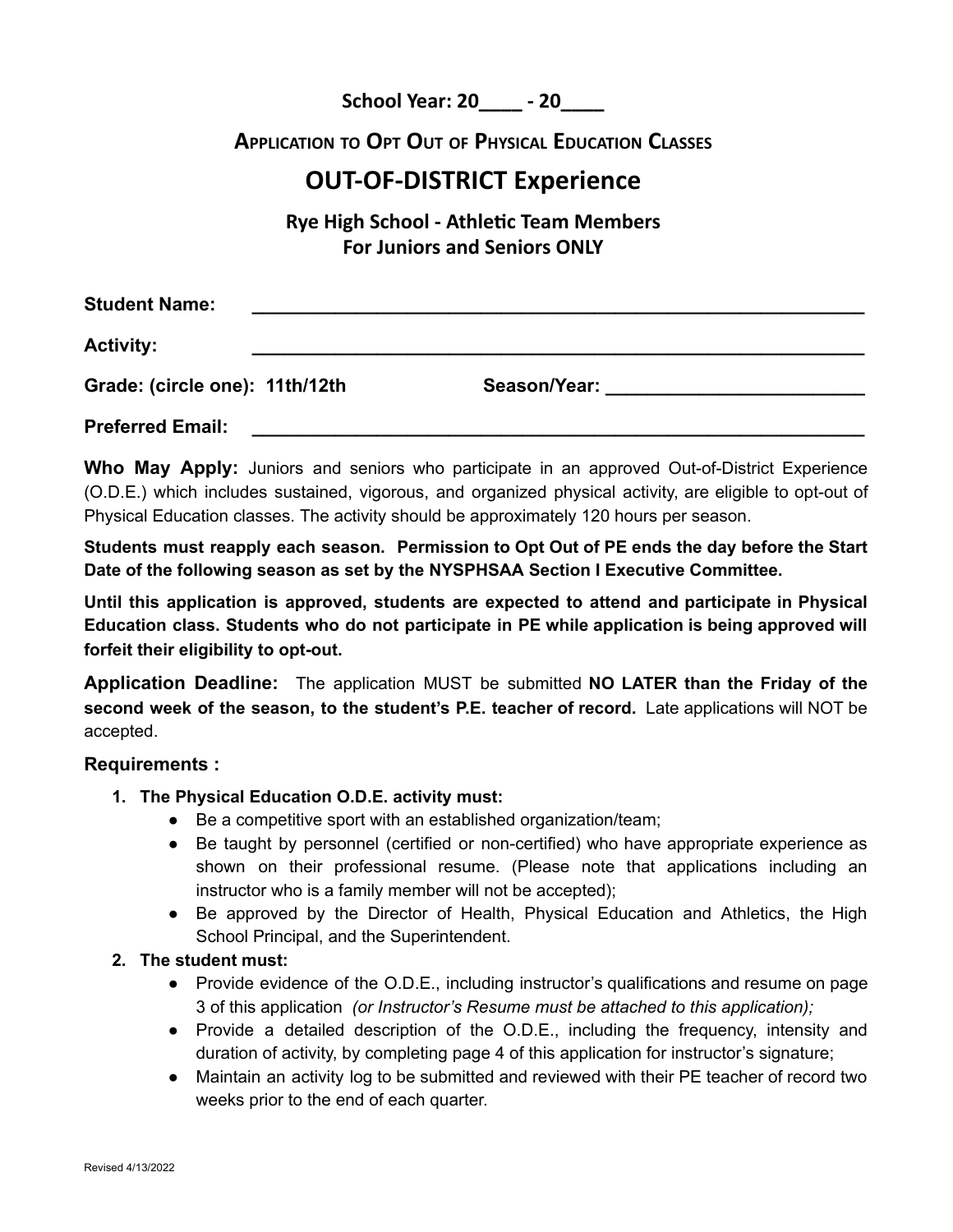**School Year: 20\_\_\_\_ - 20\_\_\_\_**

# **APPLICATION TO OPT OUT OF PHYSICAL EDUCATION CLASSES**

# **OUT-OF-DISTRICT Experience**

**Rye High School - Athlec Team Members For Juniors and Seniors ONLY**

| <b>Student Name:</b>           |              |
|--------------------------------|--------------|
| <b>Activity:</b>               |              |
| Grade: (circle one): 11th/12th | Season/Year: |
| <b>Preferred Email:</b>        |              |

**Who May Apply:** Juniors and seniors who participate in an approved Out-of-District Experience (O.D.E.) which includes sustained, vigorous, and organized physical activity, are eligible to opt-out of Physical Education classes. The activity should be approximately 120 hours per season.

**Students must reapply each season. Permission to Opt Out of PE ends the day before the Start Date of the following season as set by the NYSPHSAA Section I Executive Committee.**

**Until this application is approved, students are expected to attend and participate in Physical Education class. Students who do not participate in PE while application is being approved will forfeit their eligibility to opt-out.**

**Application Deadline:** The application MUST be submitted **NO LATER than the Friday of the second week of the season, to the student's P.E. teacher of record.** Late applications will NOT be accepted.

#### **Requirements :**

- **1. The Physical Education O.D.E. activity must:**
	- Be a competitive sport with an established organization/team;
	- Be taught by personnel (certified or non-certified) who have appropriate experience as shown on their professional resume. (Please note that applications including an instructor who is a family member will not be accepted);
	- Be approved by the Director of Health, Physical Education and Athletics, the High School Principal, and the Superintendent.

#### **2. The student must:**

- Provide evidence of the O.D.E., including instructor's qualifications and resume on page 3 of this application *(or Instructor's Resume must be attached to this application);*
- Provide a detailed description of the O.D.E., including the frequency, intensity and duration of activity, by completing page 4 of this application for instructor's signature;
- Maintain an activity log to be submitted and reviewed with their PE teacher of record two weeks prior to the end of each quarter.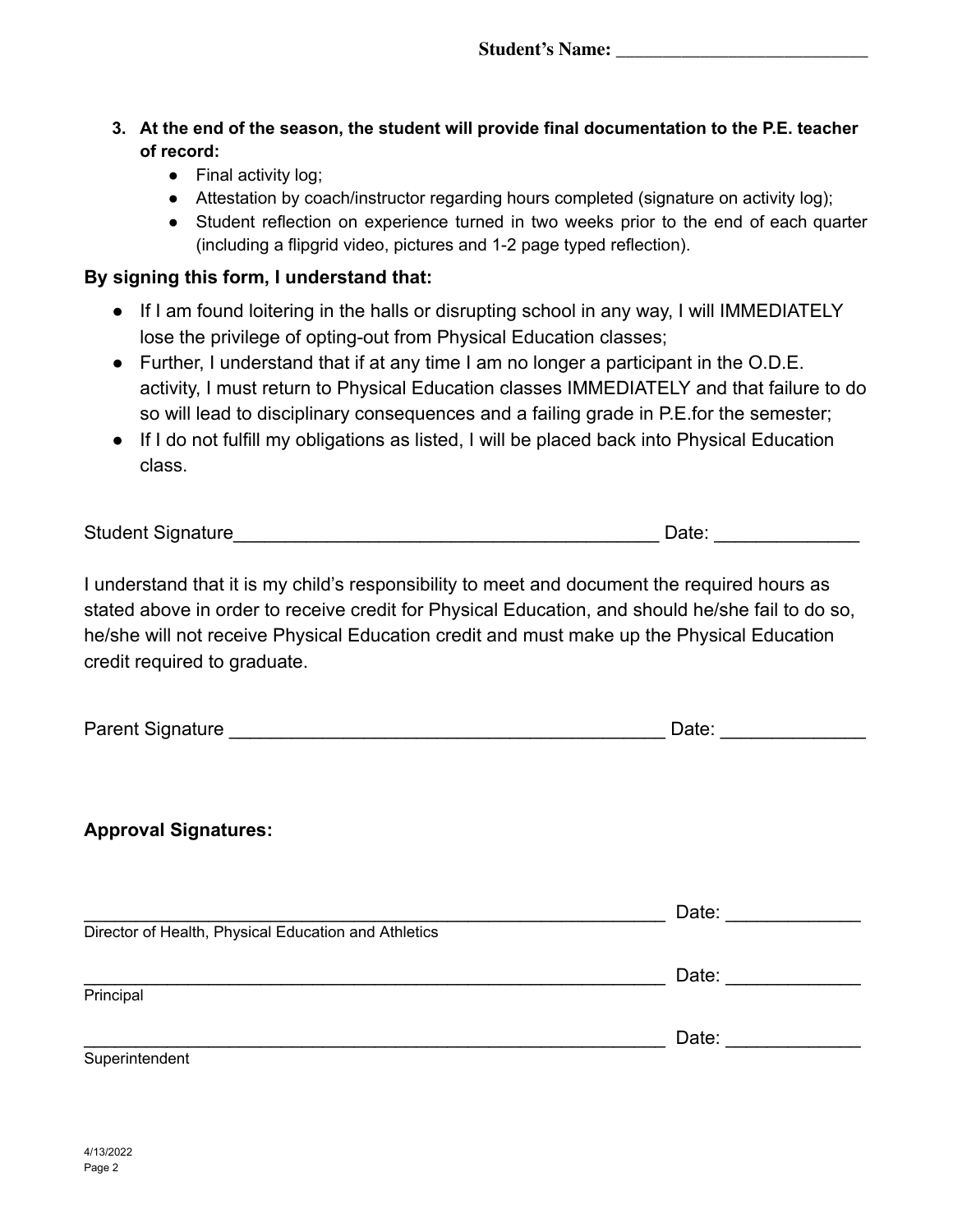- **3. At the end of the season, the student will provide final documentation to the P.E. teacher of record:**
	- Final activity log;
	- Attestation by coach/instructor regarding hours completed (signature on activity log);
	- Student reflection on experience turned in two weeks prior to the end of each quarter (including a flipgrid video, pictures and 1-2 page typed reflection).

### **By signing this form, I understand that:**

- If I am found loitering in the halls or disrupting school in any way, I will IMMEDIATELY lose the privilege of opting-out from Physical Education classes;
- Further, I understand that if at any time I am no longer a participant in the O.D.E. activity, I must return to Physical Education classes IMMEDIATELY and that failure to do so will lead to disciplinary consequences and a failing grade in P.E.for the semester;
- If I do not fulfill my obligations as listed, I will be placed back into Physical Education class.

| <b>Student Signature</b> | Date |
|--------------------------|------|
|                          |      |

I understand that it is my child's responsibility to meet and document the required hours as stated above in order to receive credit for Physical Education, and should he/she fail to do so, he/she will not receive Physical Education credit and must make up the Physical Education credit required to graduate.

| <b>Parent Signature</b> |  | Jate |  |
|-------------------------|--|------|--|
|-------------------------|--|------|--|

## **Approval Signatures:**

|                                                      | Date: |
|------------------------------------------------------|-------|
| Director of Health, Physical Education and Athletics |       |
|                                                      | Date: |
| Principal                                            |       |
|                                                      | Date: |
| Superintendent                                       |       |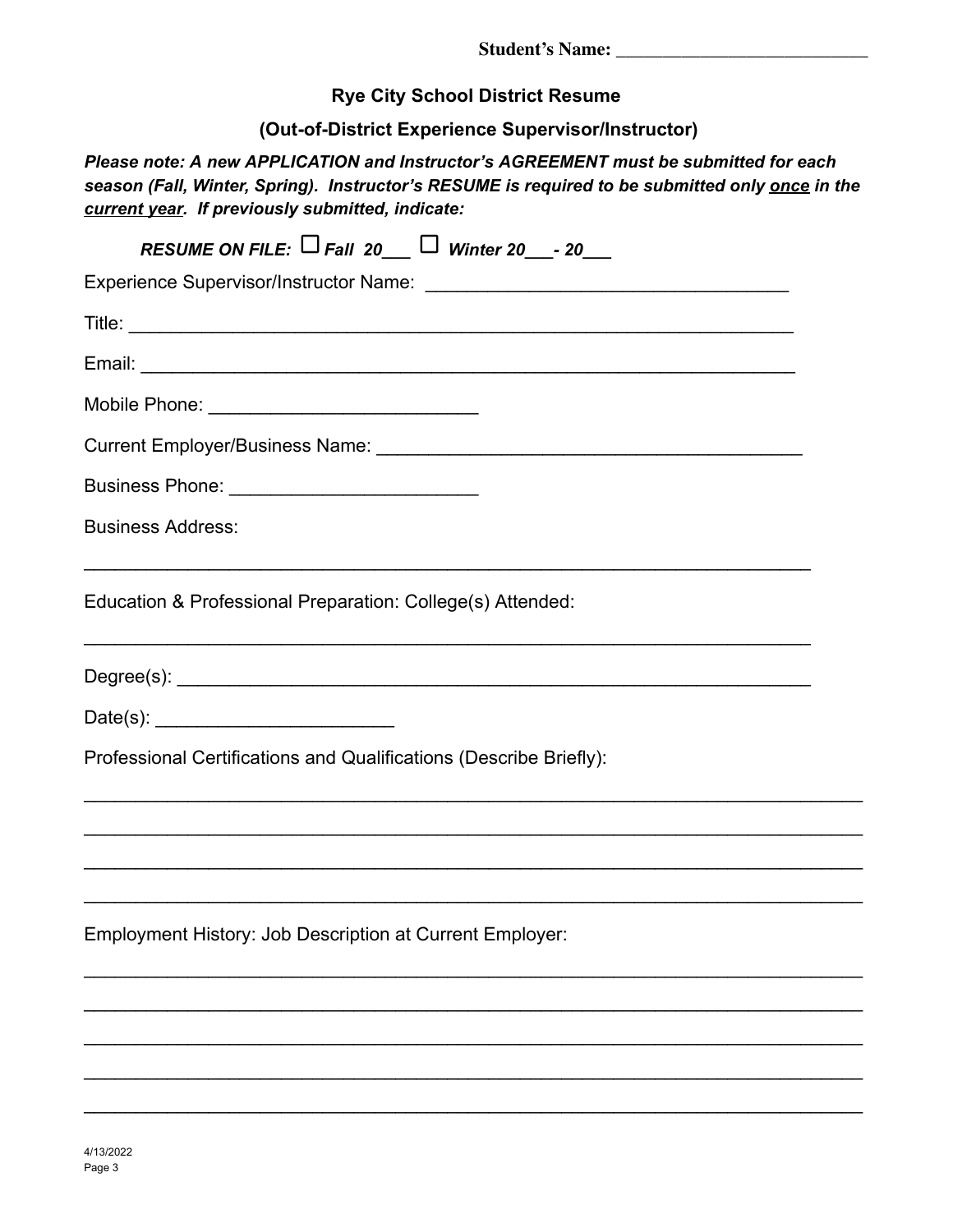**Student's Name: \_\_\_\_\_\_\_\_\_\_\_\_\_\_\_\_\_\_\_\_\_\_\_\_\_\_\_**

**Rye City School District Resume**

**(Out-of-District Experience Supervisor/Instructor)**

*Please note: A new APPLICATION and Instructor's AGREEMENT must be submitted for each season (Fall, Winter, Spring). Instructor's RESUME is required to be submitted only once in the current year. If previously submitted, indicate:*

| RESUME ON FILE: $\Box$ Fall 20 $\Box$ Winter 20 $\Box$ - 20                                                                                     |
|-------------------------------------------------------------------------------------------------------------------------------------------------|
|                                                                                                                                                 |
|                                                                                                                                                 |
|                                                                                                                                                 |
| Mobile Phone: _________________________________                                                                                                 |
|                                                                                                                                                 |
| Business Phone: ______________________________                                                                                                  |
| <b>Business Address:</b>                                                                                                                        |
| Education & Professional Preparation: College(s) Attended:<br>,我们也不能在这里的人,我们也不能在这里的人,我们也不能在这里的人,我们也不能在这里的人,我们也不能在这里的人,我们也不能在这里的人,我们也不能在这里的人,我们也 |
|                                                                                                                                                 |
|                                                                                                                                                 |
| Professional Certifications and Qualifications (Describe Briefly):                                                                              |
|                                                                                                                                                 |
|                                                                                                                                                 |
| Employment History: Job Description at Current Employer:                                                                                        |
|                                                                                                                                                 |
|                                                                                                                                                 |
|                                                                                                                                                 |
|                                                                                                                                                 |